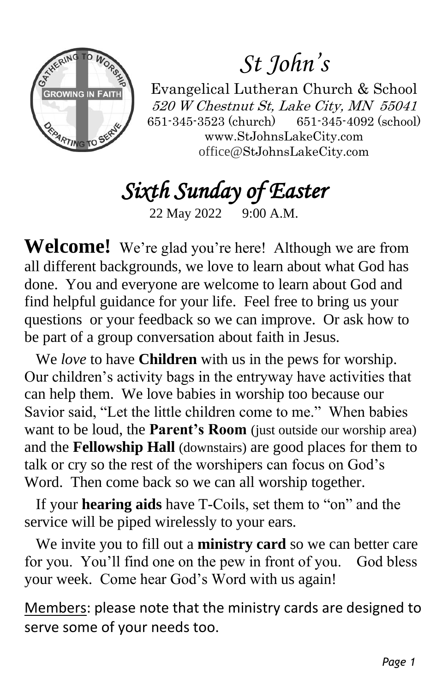

# *St John's*

Evangelical Lutheran Church & School 520 W Chestnut St, Lake City, MN 55041 651-345-3523 (church) 651-345-4092 (school) www.StJohnsLakeCity.com office@StJohnsLakeCity.com

*Sixth Sunday of Easter* 

22 May 2022 9:00 A.M.

**Welcome!** We're glad you're here! Although we are from all different backgrounds, we love to learn about what God has done. You and everyone are welcome to learn about God and find helpful guidance for your life. Feel free to bring us your questions or your feedback so we can improve. Or ask how to be part of a group conversation about faith in Jesus.

 We *love* to have **Children** with us in the pews for worship. Our children's activity bags in the entryway have activities that can help them. We love babies in worship too because our Savior said, "Let the little children come to me." When babies want to be loud, the **Parent's Room** (just outside our worship area) and the **Fellowship Hall** (downstairs) are good places for them to talk or cry so the rest of the worshipers can focus on God's Word. Then come back so we can all worship together.

 If your **hearing aids** have T-Coils, set them to "on" and the service will be piped wirelessly to your ears.

 We invite you to fill out a **ministry card** so we can better care for you. You'll find one on the pew in front of you. God bless your week. Come hear God's Word with us again!

Members: please note that the ministry cards are designed to serve some of your needs too.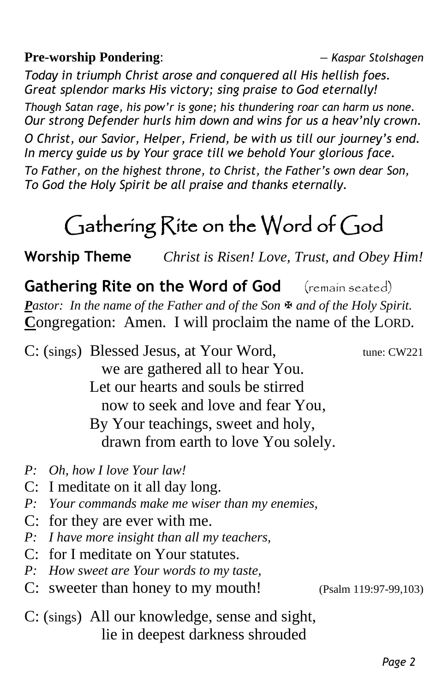**Pre-worship Pondering**: *— Kaspar Stolshagen*

*Today in triumph Christ arose and conquered all His hellish foes. Great splendor marks His victory; sing praise to God eternally!*

*Though Satan rage, his pow'r is gone; his thundering roar can harm us none. Our strong Defender hurls him down and wins for us a heav'nly crown.*

*O Christ, our Savior, Helper, Friend, be with us till our journey's end. In mercy guide us by Your grace till we behold Your glorious face.*

*To Father, on the highest throne, to Christ, the Father's own dear Son, To God the Holy Spirit be all praise and thanks eternally.*

# Gathering Rite on the Word of God

**Worship Theme** *Christ is Risen! Love, Trust, and Obey Him!*

**Gathering Rite on the Word of God** (remain seated) *Pastor: In the name of the Father and of the Son*  $\overline{\mathbf{F}}$  *and of the Holy Spirit.* **C**ongregation: Amen. I will proclaim the name of the LORD.

C: (sings) Blessed Jesus, at Your Word, tune: CW221 we are gathered all to hear You. Let our hearts and souls be stirred now to seek and love and fear You, By Your teachings, sweet and holy, drawn from earth to love You solely.

- *P: Oh, how I love Your law!*
- C: I meditate on it all day long.
- *P: Your commands make me wiser than my enemies,*
- C: for they are ever with me.
- *P: I have more insight than all my teachers,*
- C: for I meditate on Your statutes.
- *P: How sweet are Your words to my taste,*
- C: sweeter than honey to my mouth! (Psalm 119:97-99,103)

C: (sings) All our knowledge, sense and sight, lie in deepest darkness shrouded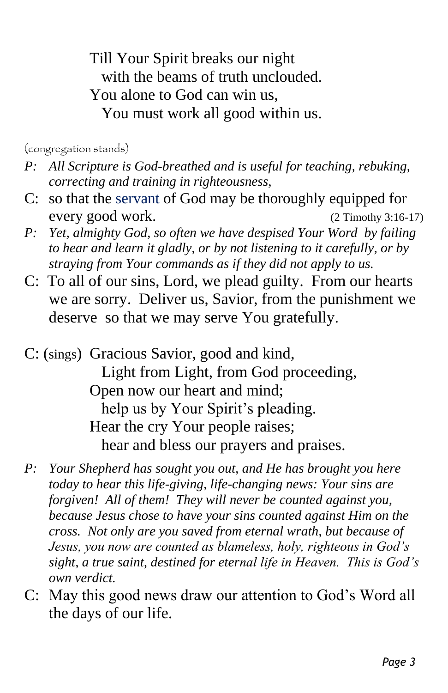Till Your Spirit breaks our night with the beams of truth unclouded. You alone to God can win us, You must work all good within us.

(congregation stands)

- *P: All Scripture is God-breathed and is useful for teaching, rebuking, correcting and training in righteousness,*
- C: so that the servant of God may be thoroughly equipped for every good work. (2 Timothy 3:16-17)
- *P: Yet, almighty God, so often we have despised Your Word by failing to hear and learn it gladly, or by not listening to it carefully, or by straying from Your commands as if they did not apply to us.*
- C: To all of our sins, Lord, we plead guilty. From our hearts we are sorry. Deliver us, Savior, from the punishment we deserve so that we may serve You gratefully.

C: (sings) Gracious Savior, good and kind, Light from Light, from God proceeding, Open now our heart and mind; help us by Your Spirit's pleading. Hear the cry Your people raises; hear and bless our prayers and praises.

- *P: Your Shepherd has sought you out, and He has brought you here today to hear this life-giving, life-changing news: Your sins are forgiven! All of them! They will never be counted against you, because Jesus chose to have your sins counted against Him on the cross. Not only are you saved from eternal wrath, but because of Jesus, you now are counted as blameless, holy, righteous in God's sight, a true saint, destined for eternal life in Heaven. This is God's own verdict.*
- C: May this good news draw our attention to God's Word all the days of our life.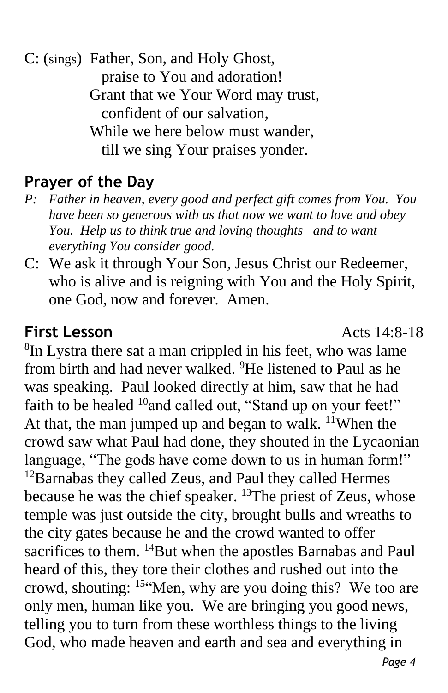C: (sings) Father, Son, and Holy Ghost, praise to You and adoration! Grant that we Your Word may trust, confident of our salvation, While we here below must wander, till we sing Your praises yonder.

## **Prayer of the Day**

- *P: Father in heaven, every good and perfect gift comes from You. You have been so generous with us that now we want to love and obey You. Help us to think true and loving thoughts and to want everything You consider good.*
- C: We ask it through Your Son, Jesus Christ our Redeemer, who is alive and is reigning with You and the Holy Spirit, one God, now and forever. Amen.

#### **First Lesson** Acts 14:8-18

<sup>8</sup>In Lystra there sat a man crippled in his feet, who was lame from birth and had never walked. <sup>9</sup>He listened to Paul as he was speaking. Paul looked directly at him, saw that he had faith to be healed <sup>10</sup>and called out, "Stand up on your feet!" At that, the man jumped up and began to walk.  $\frac{11}{11}$ When the crowd saw what Paul had done, they shouted in the Lycaonian language, "The gods have come down to us in human form!"  $12$ Barnabas they called Zeus, and Paul they called Hermes because he was the chief speaker. <sup>13</sup>The priest of Zeus, whose temple was just outside the city, brought bulls and wreaths to the city gates because he and the crowd wanted to offer sacrifices to them. <sup>14</sup>But when the apostles Barnabas and Paul heard of this, they tore their clothes and rushed out into the crowd, shouting: <sup>15</sup>"Men, why are you doing this? We too are only men, human like you. We are bringing you good news, telling you to turn from these worthless things to the living God, who made heaven and earth and sea and everything in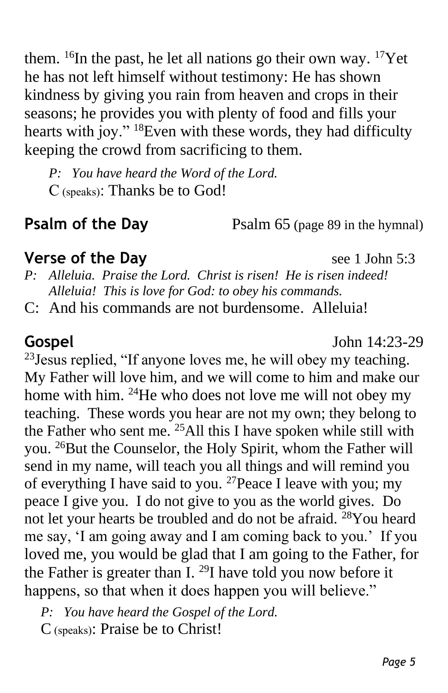them.  $^{16}$ In the past, he let all nations go their own way.  $^{17}$ Yet he has not left himself without testimony: He has shown kindness by giving you rain from heaven and crops in their seasons; he provides you with plenty of food and fills your hearts with joy." <sup>18</sup>Even with these words, they had difficulty keeping the crowd from sacrificing to them.

*P: You have heard the Word of the Lord.* C (speaks): Thanks be to God!

**Psalm of the Day** Psalm 65 (page 89 in the hymnal)

#### **Verse of the Day** see 1 John 5:3

- *P: Alleluia. Praise the Lord. Christ is risen! He is risen indeed! Alleluia! This is love for God: to obey his commands.*
- C: And his commands are not burdensome. Alleluia!

**Gospel** John 14:23-29

<sup>23</sup> Jesus replied, "If anyone loves me, he will obey my teaching. My Father will love him, and we will come to him and make our home with him. <sup>24</sup>He who does not love me will not obey my teaching. These words you hear are not my own; they belong to the Father who sent me. <sup>25</sup>All this I have spoken while still with you. <sup>26</sup>But the Counselor, the Holy Spirit, whom the Father will send in my name, will teach you all things and will remind you of everything I have said to you. <sup>27</sup> Peace I leave with you; my peace I give you. I do not give to you as the world gives. Do not let your hearts be troubled and do not be afraid. <sup>28</sup>You heard me say, 'I am going away and I am coming back to you.' If you loved me, you would be glad that I am going to the Father, for the Father is greater than I.  $^{29}$ I have told you now before it happens, so that when it does happen you will believe."

*P: You have heard the Gospel of the Lord.*

C (speaks): Praise be to Christ!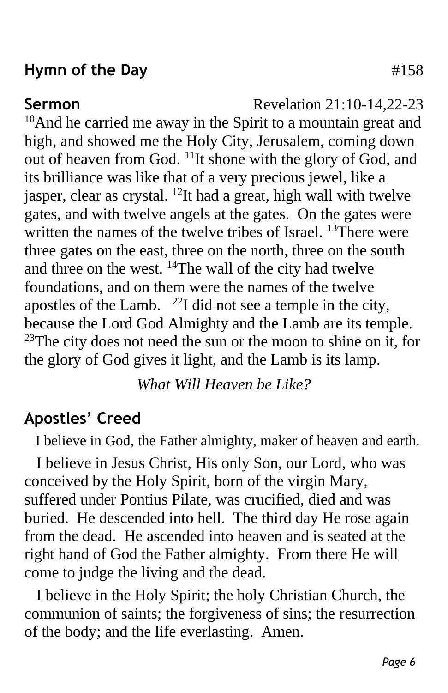### **Hymn of the Day**  $\#158$

**Sermon** Revelation 21:10-14.22-23

 $10$ And he carried me away in the Spirit to a mountain great and high, and showed me the Holy City, Jerusalem, coming down out of heaven from God. <sup>11</sup>It shone with the glory of God, and its brilliance was like that of a very precious jewel, like a jasper, clear as crystal. <sup>12</sup>It had a great, high wall with twelve gates, and with twelve angels at the gates. On the gates were written the names of the twelve tribes of Israel. <sup>13</sup>There were three gates on the east, three on the north, three on the south and three on the west. <sup>14</sup>The wall of the city had twelve foundations, and on them were the names of the twelve apostles of the Lamb.  $^{22}I$  did not see a temple in the city, because the Lord God Almighty and the Lamb are its temple.  $23$ The city does not need the sun or the moon to shine on it, for the glory of God gives it light, and the Lamb is its lamp.

*What Will Heaven be Like?*

## **Apostles' Creed**

I believe in God, the Father almighty, maker of heaven and earth.

 I believe in Jesus Christ, His only Son, our Lord, who was conceived by the Holy Spirit, born of the virgin Mary, suffered under Pontius Pilate, was crucified, died and was buried. He descended into hell. The third day He rose again from the dead. He ascended into heaven and is seated at the right hand of God the Father almighty. From there He will come to judge the living and the dead.

 I believe in the Holy Spirit; the holy Christian Church, the communion of saints; the forgiveness of sins; the resurrection of the body; and the life everlasting. Amen.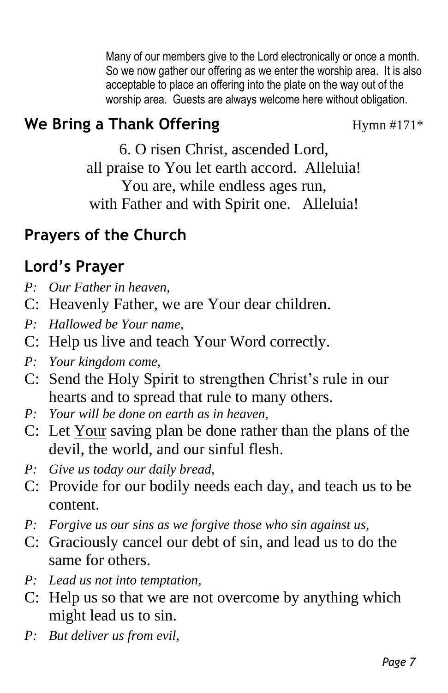Many of our members give to the Lord electronically or once a month. So we now gather our offering as we enter the worship area. It is also acceptable to place an offering into the plate on the way out of the worship area. Guests are always welcome here without obligation.

# **We Bring a Thank Offering** Hymn #171\*

6. O risen Christ, ascended Lord, all praise to You let earth accord. Alleluia! You are, while endless ages run, with Father and with Spirit one. Alleluia!

## **Prayers of the Church**

# **Lord's Prayer**

- *P: Our Father in heaven,*
- C: Heavenly Father, we are Your dear children.
- *P: Hallowed be Your name,*
- C: Help us live and teach Your Word correctly.
- *P: Your kingdom come,*
- C: Send the Holy Spirit to strengthen Christ's rule in our hearts and to spread that rule to many others.
- *P: Your will be done on earth as in heaven,*
- C: Let Your saving plan be done rather than the plans of the devil, the world, and our sinful flesh.
- *P: Give us today our daily bread,*
- C: Provide for our bodily needs each day, and teach us to be content.
- *P: Forgive us our sins as we forgive those who sin against us,*
- C: Graciously cancel our debt of sin, and lead us to do the same for others.
- *P: Lead us not into temptation,*
- C: Help us so that we are not overcome by anything which might lead us to sin.
- *P: But deliver us from evil,*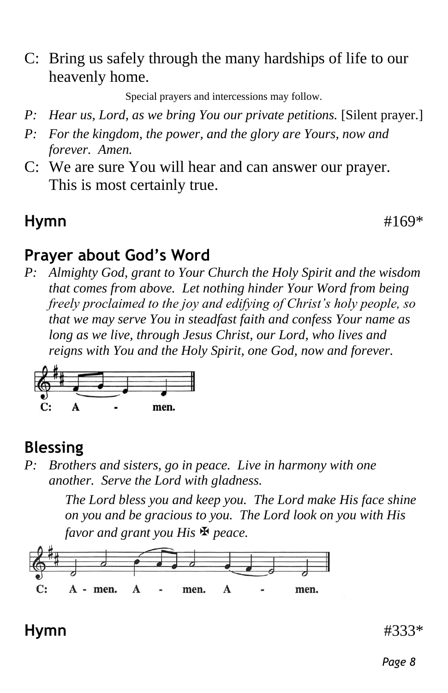C: Bring us safely through the many hardships of life to our heavenly home.

Special prayers and intercessions may follow.

- *P: Hear us, Lord, as we bring You our private petitions.* [Silent prayer.]
- *P: For the kingdom, the power, and the glory are Yours, now and forever. Amen.*
- C: We are sure You will hear and can answer our prayer. This is most certainly true.

### **Hymn**  $\#169^*$

#### **Prayer about God's Word**

*P: Almighty God, grant to Your Church the Holy Spirit and the wisdom that comes from above. Let nothing hinder Your Word from being freely proclaimed to the joy and edifying of Christ's holy people, so that we may serve You in steadfast faith and confess Your name as long as we live, through Jesus Christ, our Lord, who lives and reigns with You and the Holy Spirit, one God, now and forever.*



## **Blessing**

*P: Brothers and sisters, go in peace. Live in harmony with one another. Serve the Lord with gladness.*

> *The Lord bless you and keep you. The Lord make His face shine on you and be gracious to you. The Lord look on you with His favor and grant you His peace.*



#### **Hymn** #333\*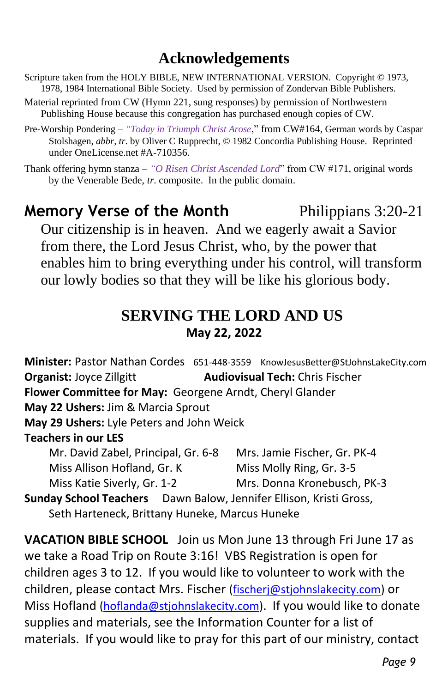### **Acknowledgements**

- Scripture taken from the HOLY BIBLE, NEW INTERNATIONAL VERSION. Copyright © 1973, 1978, 1984 International Bible Society. Used by permission of Zondervan Bible Publishers.
- Material reprinted from CW (Hymn 221, sung responses) by permission of Northwestern Publishing House because this congregation has purchased enough copies of CW.
- Pre-Worship Pondering *"Today in Triumph Christ Arose*," from CW#164, German words by Caspar Stolshagen, *abbr*, *tr*. by Oliver C Rupprecht, © 1982 Concordia Publishing House. Reprinted under OneLicense.net #A-710356.

Thank offering hymn stanza – *"O Risen Christ Ascended Lord*" from CW #171, original words by the Venerable Bede, *tr*. composite. In the public domain.

#### **Memory Verse of the Month** Philippians 3:20-21 Our citizenship is in heaven. And we eagerly await a Savior

from there, the Lord Jesus Christ, who, by the power that enables him to bring everything under his control, will transform our lowly bodies so that they will be like his glorious body.

#### **SERVING THE LORD AND US May 22, 2022**

**Minister:** Pastor Nathan Cordes 651-448-3559 KnowJesusBetter@StJohnsLakeCity.com **Organist: Joyce Zillgitt <b>Audiovisual Tech:** Chris Fischer **Flower Committee for May:** Georgene Arndt, Cheryl Glander **May 22 Ushers:** Jim & Marcia Sprout **May 29 Ushers:** Lyle Peters and John Weick **Teachers in our LES** Mr. David Zabel, Principal, Gr. 6-8 Mrs. Jamie Fischer, Gr. PK-4 Miss Allison Hofland, Gr. K Miss Molly Ring, Gr. 3-5 Miss Katie Siverly, Gr. 1-2 Mrs. Donna Kronebusch, PK-3 **Sunday School Teachers** Dawn Balow, Jennifer Ellison, Kristi Gross, Seth Harteneck, Brittany Huneke, Marcus Huneke

**VACATION BIBLE SCHOOL** Join us Mon June 13 through Fri June 17 as we take a Road Trip on Route 3:16! VBS Registration is open for children ages 3 to 12. If you would like to volunteer to work with the children, please contact Mrs. Fischer [\(fischerj@stjohnslakecity.com\)](mailto:fischerj@stjohnslakecity.com) or Miss Hofland [\(hoflanda@stjohnslakecity.com\)](mailto:hoflanda@stjohnslakecity.com). If you would like to donate supplies and materials, see the Information Counter for a list of materials. If you would like to pray for this part of our ministry, contact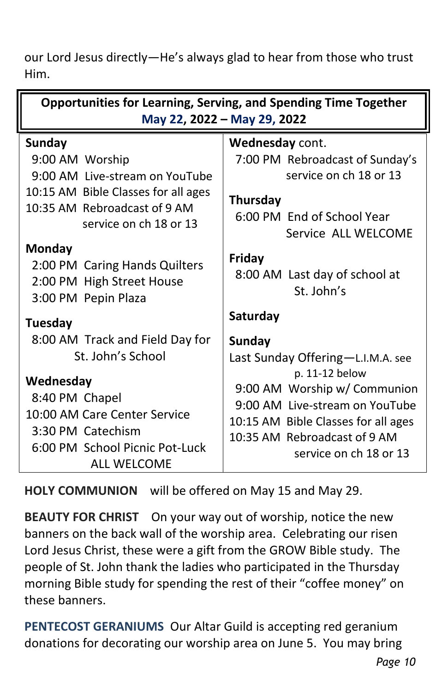our Lord Jesus directly—He's always glad to hear from those who trust Him.

| <b>Opportunities for Learning, Serving, and Spending Time Together</b><br>May 22, 2022 - May 29, 2022                                                        |                                                                                                                               |
|--------------------------------------------------------------------------------------------------------------------------------------------------------------|-------------------------------------------------------------------------------------------------------------------------------|
| Sunday<br>9:00 AM Worship<br>9:00 AM Live-stream on YouTube<br>10:15 AM Bible Classes for all ages<br>10:35 AM Rebroadcast of 9 AM<br>service on ch 18 or 13 | Wednesday cont.<br>7:00 PM Rebroadcast of Sunday's<br>service on ch 18 or 13<br><b>Thursday</b><br>6:00 PM End of School Year |
| <b>Monday</b>                                                                                                                                                | Service ALL WELCOME                                                                                                           |
| 2:00 PM Caring Hands Quilters                                                                                                                                | Friday                                                                                                                        |
| 2:00 PM High Street House                                                                                                                                    | 8:00 AM Last day of school at                                                                                                 |
| 3:00 PM Pepin Plaza                                                                                                                                          | St. John's                                                                                                                    |
| Tuesday                                                                                                                                                      | Saturday                                                                                                                      |
| 8:00 AM Track and Field Day for                                                                                                                              | <b>Sunday</b>                                                                                                                 |
| St. John's School                                                                                                                                            | Last Sunday Offering-L.I.M.A. see                                                                                             |
| Wednesday                                                                                                                                                    | p. 11-12 below                                                                                                                |
| 8:40 PM Chapel                                                                                                                                               | 9:00 AM Worship w/ Communion                                                                                                  |
| 10:00 AM Care Center Service                                                                                                                                 | 9:00 AM Live-stream on YouTube                                                                                                |
| 3:30 PM Catechism                                                                                                                                            | 10:15 AM Bible Classes for all ages                                                                                           |
| 6:00 PM School Picnic Pot-Luck                                                                                                                               | 10:35 AM Rebroadcast of 9 AM                                                                                                  |
| <b>ALL WELCOME</b>                                                                                                                                           | service on ch 18 or 13                                                                                                        |

**HOLY COMMUNION** will be offered on May 15 and May 29.

**BEAUTY FOR CHRIST** On your way out of worship, notice the new banners on the back wall of the worship area. Celebrating our risen Lord Jesus Christ, these were a gift from the GROW Bible study. The people of St. John thank the ladies who participated in the Thursday morning Bible study for spending the rest of their "coffee money" on these banners.

**PENTECOST GERANIUMS** Our Altar Guild is accepting red geranium donations for decorating our worship area on June 5. You may bring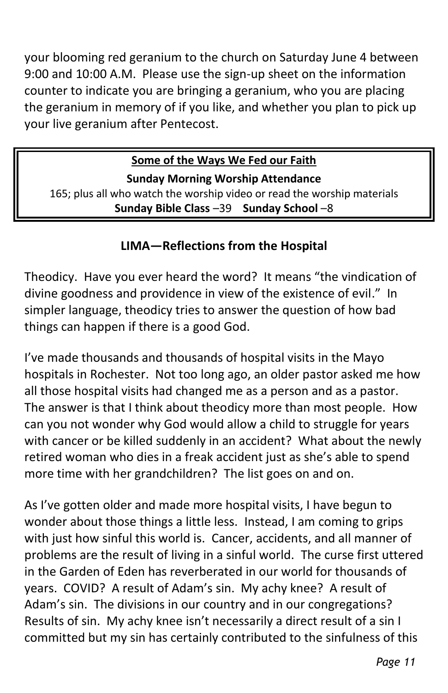your blooming red geranium to the church on Saturday June 4 between 9:00 and 10:00 A.M. Please use the sign-up sheet on the information counter to indicate you are bringing a geranium, who you are placing the geranium in memory of if you like, and whether you plan to pick up your live geranium after Pentecost.

#### **Some of the Ways We Fed our Faith**

**Sunday Morning Worship Attendance** 165; plus all who watch the worship video or read the worship materials **Sunday Bible Class** –39 **Sunday School** –8

#### **LIMA—Reflections from the Hospital**

Theodicy. Have you ever heard the word? It means "the vindication of divine goodness and providence in view of the existence of evil." In simpler language, theodicy tries to answer the question of how bad things can happen if there is a good God.

I've made thousands and thousands of hospital visits in the Mayo hospitals in Rochester. Not too long ago, an older pastor asked me how all those hospital visits had changed me as a person and as a pastor. The answer is that I think about theodicy more than most people. How can you not wonder why God would allow a child to struggle for years with cancer or be killed suddenly in an accident? What about the newly retired woman who dies in a freak accident just as she's able to spend more time with her grandchildren? The list goes on and on.

As I've gotten older and made more hospital visits, I have begun to wonder about those things a little less. Instead, I am coming to grips with just how sinful this world is. Cancer, accidents, and all manner of problems are the result of living in a sinful world. The curse first uttered in the Garden of Eden has reverberated in our world for thousands of years. COVID? A result of Adam's sin. My achy knee? A result of Adam's sin. The divisions in our country and in our congregations? Results of sin. My achy knee isn't necessarily a direct result of a sin I committed but my sin has certainly contributed to the sinfulness of this